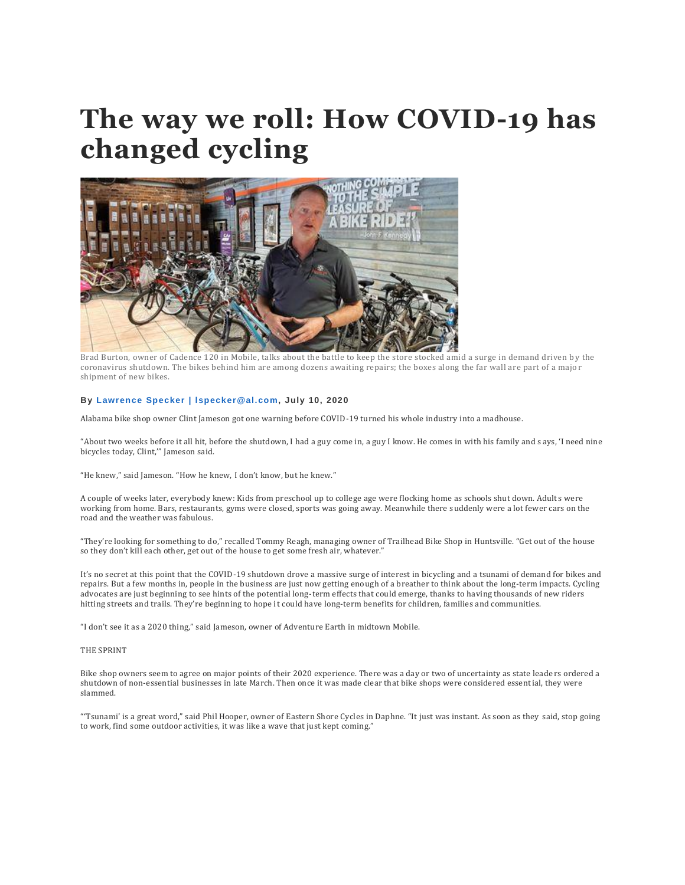# **The way we roll: How COVID-19 has changed cycling**



Brad Burton, owner of Cadence 120 in Mobile, talks about the battle to keep the store stocked amid a surge in demand driven by the coronavirus shutdown. The bikes behind him are among dozens awaiting repairs; the boxes along the far wall are part of a majo r shipment of new bikes.

# **By Lawrence Specker | [lspecker@al.com,](http://connect.al.com/staff/lfspecke/posts.html) July 10, 2020**

Alabama bike shop owner Clint Jameson got one warning before COVID-19 turned his whole industry into a madhouse.

"About two weeks before it all hit, before the shutdown, I had a guy come in, a guy I know. He comes in with his family and s ays, 'I need nine bicycles today, Clint,'" Jameson said.

"He knew," said Jameson. "How he knew, I don't know, but he knew."

A couple of weeks later, everybody knew: Kids from preschool up to college age were flocking home as schools shut down. Adult s were working from home. Bars, restaurants, gyms were closed, sports was going away. Meanwhile there suddenly were a lot fewer cars on the road and the weather was fabulous.

"They're looking for something to do," recalled Tommy Reagh, managing owner of Trailhead Bike Shop in Huntsville. "Get out of the house so they don't kill each other, get out of the house to get some fresh air, whatever."

It's no secret at this point that the COVID-19 shutdown drove a massive surge of interest in bicycling and a tsunami of demand for bikes and repairs. But a few months in, people in the business are just now getting enough of a breather to think about the long-term impacts. Cycling advocates are just beginning to see hints of the potential long-term effects that could emerge, thanks to having thousands of new riders hitting streets and trails. They're beginning to hope it could have long-term benefits for children, families and communities.

"I don't see it as a 2020 thing," said Jameson, owner of Adventure Earth in midtown Mobile.

# THE SPRINT

Bike shop owners seem to agree on major points of their 2020 experience. There was a day or two of uncertainty as state leade rs ordered a shutdown of non-essential businesses in late March. Then once it was made clear that bike shops were considered essential, they were slammed.

"'Tsunami' is a great word," said Phil Hooper, owner of Eastern Shore Cycles in Daphne. "It just was instant. As soon as they said, stop going to work, find some outdoor activities, it was like a wave that just kept coming."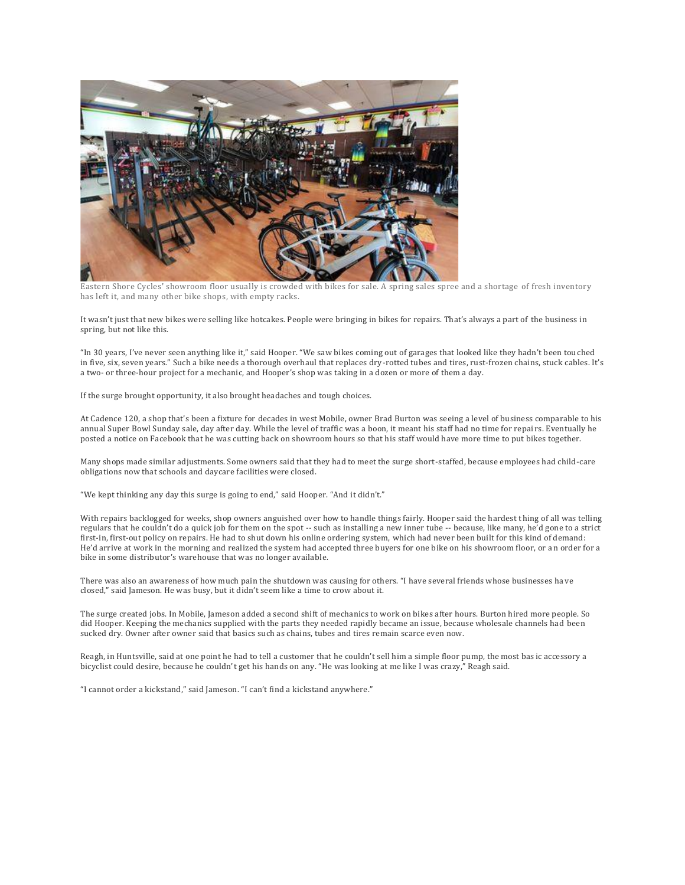

Eastern Shore Cycles' showroom floor usually is crowded with bikes for sale. A spring sales spree and a shortage of fresh inventory has left it, and many other bike shops, with empty racks.

It wasn't just that new bikes were selling like hotcakes. People were bringing in bikes for repairs. That's always a part of the business in spring, but not like this.

"In 30 years, I've never seen anything like it," said Hooper. "We saw bikes coming out of garages that looked like they hadn't been tou ched in five, six, seven years." Such a bike needs a thorough overhaul that replaces dry-rotted tubes and tires, rust-frozen chains, stuck cables. It's a two- or three-hour project for a mechanic, and Hooper's shop was taking in a dozen or more of them a day.

If the surge brought opportunity, it also brought headaches and tough choices.

At Cadence 120, a shop that's been a fixture for decades in west Mobile, owner Brad Burton was seeing a level of business comparable to his annual Super Bowl Sunday sale, day after day. While the level of traffic was a boon, it meant his staff had no time for repai rs. Eventually he posted a notice on Facebook that he was cutting back on showroom hours so that his staff would have more time to put bikes together.

Many shops made similar adjustments. Some owners said that they had to meet the surge short-staffed, because employees had child-care obligations now that schools and daycare facilities were closed.

"We kept thinking any day this surge is going to end," said Hooper. "And it didn't."

With repairs backlogged for weeks, shop owners anguished over how to handle things fairly. Hooper said the hardest thing of all was telling regulars that he couldn't do a quick job for them on the spot -- such as installing a new inner tube -- because, like many, he'd gone to a strict first-in, first-out policy on repairs. He had to shut down his online ordering system, which had never been built for this kind of demand: He'd arrive at work in the morning and realized the system had accepted three buyers for one bike on his showroom floor, or a n order for a bike in some distributor's warehouse that was no longer available.

There was also an awareness of how much pain the shutdown was causing for others. "I have several friends whose businesses ha ve closed," said Jameson. He was busy, but it didn't seem like a time to crow about it.

The surge created jobs. In Mobile, Jameson added a second shift of mechanics to work on bikes after hours. Burton hired more people. So did Hooper. Keeping the mechanics supplied with the parts they needed rapidly became an issue, because wholesale channels had been sucked dry. Owner after owner said that basics such as chains, tubes and tires remain scarce even now.

Reagh, in Huntsville, said at one point he had to tell a customer that he couldn't sell him a simple floor pump, the most bas ic accessory a bicyclist could desire, because he couldn't get his hands on any. "He was looking at me like I was crazy," Reagh said.

"I cannot order a kickstand," said Jameson. "I can't find a kickstand anywhere."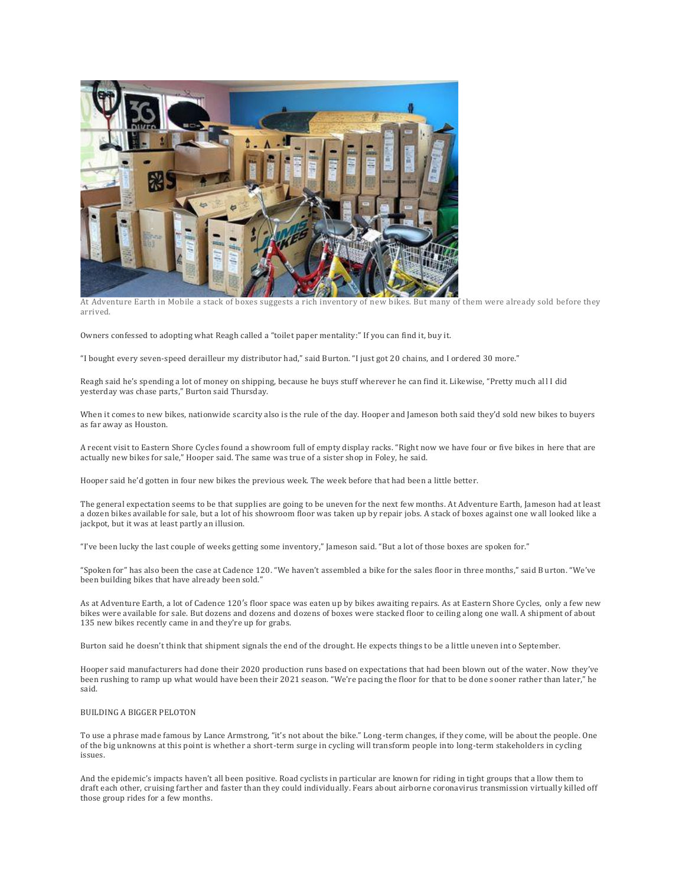

At Adventure Earth in Mobile a stack of boxes suggests a rich inventory of new bikes. But many of them were already sold before they arrived.

Owners confessed to adopting what Reagh called a "toilet paper mentality:" If you can find it, buy it.

"I bought every seven-speed derailleur my distributor had," said Burton. "I just got 20 chains, and I ordered 30 more."

Reagh said he's spending a lot of money on shipping, because he buys stuff wherever he can find it. Likewise, "Pretty much al l I did yesterday was chase parts," Burton said Thursday.

When it comes to new bikes, nationwide scarcity also is the rule of the day. Hooper and Jameson both said they'd sold new bikes to buyers as far away as Houston.

A recent visit to Eastern Shore Cycles found a showroom full of empty display racks. "Right now we have four or five bikes in here that are actually new bikes for sale," Hooper said. The same was true of a sister shop in Foley, he said.

Hooper said he'd gotten in four new bikes the previous week. The week before that had been a little better.

The general expectation seems to be that supplies are going to be uneven for the next few months. At Adventure Earth, Jameson had at least a dozen bikes available for sale, but a lot of his showroom floor was taken up by repair jobs. A stack of boxes against one w all looked like a jackpot, but it was at least partly an illusion.

"I've been lucky the last couple of weeks getting some inventory," Jameson said. "But a lot of those boxes are spoken for."

"Spoken for" has also been the case at Cadence 120. "We haven't assembled a bike for the sales floor in three months," said B urton. "We've been building bikes that have already been sold."

As at Adventure Earth, a lot of Cadence 120′s floor space was eaten up by bikes awaiting repairs. As at Eastern Shore Cycles, only a few new bikes were available for sale. But dozens and dozens and dozens of boxes were stacked floor to ceiling along one wall. A shipment of about 135 new bikes recently came in and they're up for grabs.

Burton said he doesn't think that shipment signals the end of the drought. He expects things to be a little uneven int o September.

Hooper said manufacturers had done their 2020 production runs based on expectations that had been blown out of the water. Now they've been rushing to ramp up what would have been their 2021 season. "We're pacing the floor for that to be done sooner rather than later," he said.

# BUILDING A BIGGER PELOTON

To use a phrase made famous by Lance Armstrong, "it's not about the bike." Long-term changes, if they come, will be about the people. One of the big unknowns at this point is whether a short-term surge in cycling will transform people into long-term stakeholders in cycling issues.

And the epidemic's impacts haven't all been positive. Road cyclists in particular are known for riding in tight groups that a llow them to draft each other, cruising farther and faster than they could individually. Fears about airborne coronavirus transmission virtually killed off those group rides for a few months.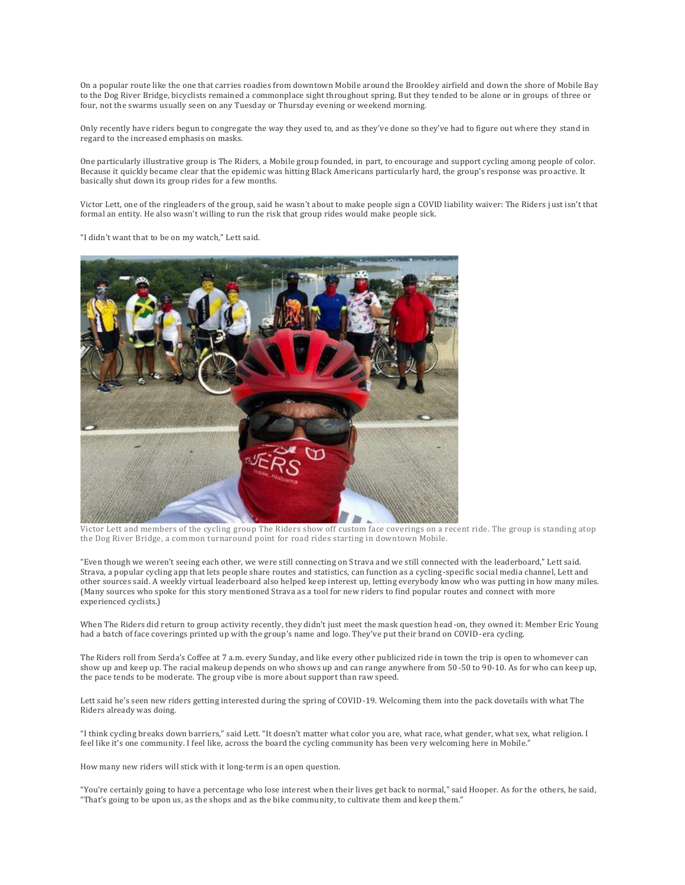On a popular route like the one that carries roadies from downtown Mobile around the Brookley airfield and down the shore of Mobile Bay to the Dog River Bridge, bicyclists remained a commonplace sight throughout spring. But they tended to be alone or in groups of three or four, not the swarms usually seen on any Tuesday or Thursday evening or weekend morning.

Only recently have riders begun to congregate the way they used to, and as they've done so they've had to figure out where they stand in regard to the increased emphasis on masks.

One particularly illustrative group is The Riders, a Mobile group founded, in part, to encourage and support cycling among people of color. Because it quickly became clear that the epidemic was hitting Black Americans particularly hard, the group's response was pro active. It basically shut down its group rides for a few months.

Victor Lett, one of the ringleaders of the group, said he wasn't about to make people sign a COVID liability waiver: The Riders j ust isn't that formal an entity. He also wasn't willing to run the risk that group rides would make people sick.

"I didn't want that to be on my watch," Lett said.



Victor Lett and members of the cycling group The Riders show off custom face coverings on a recent ride. The group is standing atop the Dog River Bridge, a common turnaround point for road rides starting in downtown Mobile.

"Even though we weren't seeing each other, we were still connecting on Strava and we still connected with the leaderboard," Lett said. Strava, a popular cycling app that lets people share routes and statistics, can function as a cycling -specific social media channel, Lett and other sources said. A weekly virtual leaderboard also helped keep interest up, letting everybody know who was putting in how many miles. (Many sources who spoke for this story mentioned Strava as a tool for new riders to find popular routes and connect with more experienced cyclists.)

When The Riders did return to group activity recently, they didn't just meet the mask question head-on, they owned it: Member Eric Young had a batch of face coverings printed up with the group's name and logo. They've put their brand on COVID-era cycling.

The Riders roll from Serda's Coffee at 7 a.m. every Sunday, and like every other publicized ride in town the trip is open to whomever can show up and keep up. The racial makeup depends on who shows up and can range anywhere from 50-50 to 90-10. As for who can keep up, the pace tends to be moderate. The group vibe is more about support than raw speed.

Lett said he's seen new riders getting interested during the spring of COVID-19. Welcoming them into the pack dovetails with what The Riders already was doing.

"I think cycling breaks down barriers," said Lett. "It doesn't matter what color you are, what race, what gender, what sex, what religion. I feel like it's one community. I feel like, across the board the cycling community has been very welcoming here in Mobile."

How many new riders will stick with it long-term is an open question.

"You're certainly going to have a percentage who lose interest when their lives get back to normal," said Hooper. As for the others, he said, "That's going to be upon us, as the shops and as the bike community, to cultivate them and keep them."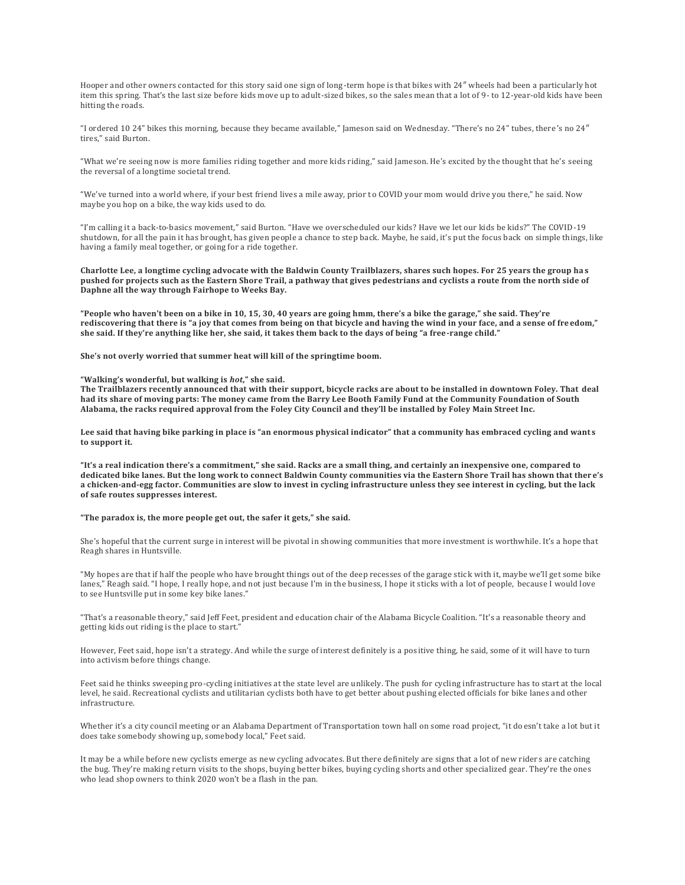Hooper and other owners contacted for this story said one sign of long-term hope is that bikes with 24″ wheels had been a particularly hot item this spring. That's the last size before kids move up to adult-sized bikes, so the sales mean that a lot of 9- to 12-year-old kids have been hitting the roads.

"I ordered 10 24" bikes this morning, because they became available," Jameson said on Wednesday. "There's no 24" tubes, there 's no 24″ tires," said Burton.

"What we're seeing now is more families riding together and more kids riding," said Jameson. He's excited by the thought that he's seeing the reversal of a longtime societal trend.

"We've turned into a world where, if your best friend lives a mile away, prior to COVID your mom would drive you there," he said. Now maybe you hop on a bike, the way kids used to do.

"I'm calling it a back-to-basics movement," said Burton. "Have we overscheduled our kids? Have we let our kids be kids?" The COVID-19 shutdown, for all the pain it has brought, has given people a chance to step back. Maybe, he said, it's put the focus back on simple things, like having a family meal together, or going for a ride together.

**Charlotte Lee, a longtime cycling advocate with the Baldwin County Trailblazers, shares such hopes. For 25 years the group ha s pushed for projects such as the Eastern Shore Trail, a pathway that gives pedestrians and cyclists a route from the north side of Daphne all the way through Fairhope to Weeks Bay.**

**"People who haven't been on a bike in 10, 15, 30, 40 years are going hmm, there's a bike the garage," she said. They're rediscovering that there is "a joy that comes from being on that bicycle and having the wind in your face, and a sense of fre edom," she said. If they're anything like her, she said, it takes them back to the days of being "a free-range child."**

**She's not overly worried that summer heat will kill of the springtime boom.**

### **"Walking's wonderful, but walking is** *hot***," she said.**

**The Trailblazers recently announced that with their support, bicycle racks are about to be installed in downtown Foley. That deal had its share of moving parts: The money came from the Barry Lee Booth Family Fund at the Community Foundation of South Alabama, the racks required approval from the Foley City Council and they'll be installed by Foley Main Street Inc.**

**Lee said that having bike parking in place is "an enormous physical indicator" that a community has embraced cycling and want s to support it.**

**"It's a real indication there's a commitment," she said. Racks are a small thing, and certainly an inexpensive one, compared to dedicated bike lanes. But the long work to connect Baldwin County communities via the Eastern Shore Trail has shown that ther e's a chicken-and-egg factor. Communities are slow to invest in cycling infrastructure unless they see interest in cycling, but the lack of safe routes suppresses interest.**

#### **"The paradox is, the more people get out, the safer it gets," she said.**

She's hopeful that the current surge in interest will be pivotal in showing communities that more investment is worthwhile. It's a hope that Reagh shares in Huntsville.

"My hopes are that if half the people who have brought things out of the deep recesses of the garage stic k with it, maybe we'll get some bike lanes," Reagh said. "I hope, I really hope, and not just because I'm in the business, I hope it sticks with a lot of people, because I would love to see Huntsville put in some key bike lanes."

"That's a reasonable theory," said Jeff Feet, president and education chair of the Alabama Bicycle Coalition. "It's a reasonable theory and getting kids out riding is the place to start."

However, Feet said, hope isn't a strategy. And while the surge of interest definitely is a pos itive thing, he said, some of it will have to turn into activism before things change.

Feet said he thinks sweeping pro-cycling initiatives at the state level are unlikely. The push for cycling infrastructure has to start at the local level, he said. Recreational cyclists and utilitarian cyclists both have to get better about pushing elected officials for bike lanes and other infrastructure.

Whether it's a city council meeting or an Alabama Department of Transportation town hall on some road project, "it do esn't take a lot but it does take somebody showing up, somebody local," Feet said.

It may be a while before new cyclists emerge as new cycling advocates. But there definitely are signs that a lot of new rider s are catching the bug. They're making return visits to the shops, buying better bikes, buying cycling shorts and other specialized gear. They're the ones who lead shop owners to think 2020 won't be a flash in the pan.